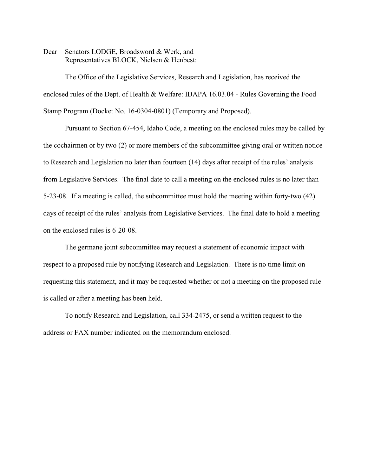Dear Senators LODGE, Broadsword & Werk, and Representatives BLOCK, Nielsen & Henbest:

The Office of the Legislative Services, Research and Legislation, has received the enclosed rules of the Dept. of Health & Welfare: IDAPA 16.03.04 - Rules Governing the Food Stamp Program (Docket No. 16-0304-0801) (Temporary and Proposed). .

Pursuant to Section 67-454, Idaho Code, a meeting on the enclosed rules may be called by the cochairmen or by two (2) or more members of the subcommittee giving oral or written notice to Research and Legislation no later than fourteen (14) days after receipt of the rules' analysis from Legislative Services. The final date to call a meeting on the enclosed rules is no later than 5-23-08. If a meeting is called, the subcommittee must hold the meeting within forty-two (42) days of receipt of the rules' analysis from Legislative Services. The final date to hold a meeting on the enclosed rules is 6-20-08.

The germane joint subcommittee may request a statement of economic impact with respect to a proposed rule by notifying Research and Legislation. There is no time limit on requesting this statement, and it may be requested whether or not a meeting on the proposed rule is called or after a meeting has been held.

To notify Research and Legislation, call 334-2475, or send a written request to the address or FAX number indicated on the memorandum enclosed.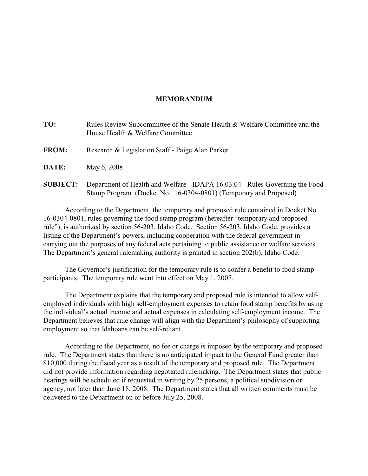# **MEMORANDUM**

| TO:             | Rules Review Subcommittee of the Senate Health & Welfare Committee and the<br>House Health & Welfare Committee                                   |
|-----------------|--------------------------------------------------------------------------------------------------------------------------------------------------|
| <b>FROM:</b>    | Research & Legislation Staff - Paige Alan Parker                                                                                                 |
| <b>DATE:</b>    | May 6, 2008                                                                                                                                      |
| <b>SUBJECT:</b> | Department of Health and Welfare - IDAPA 16.03.04 - Rules Governing the Food<br>Stamp Program (Docket No. 16-0304-0801) (Temporary and Proposed) |

According to the Department, the temporary and proposed rule contained in Docket No. 16-0304-0801, rules governing the food stamp program (hereafter "temporary and proposed rule"), is authorized by section 56-203, Idaho Code. Section 56-203, Idaho Code, provides a listing of the Department's powers, including cooperation with the federal government in carrying out the purposes of any federal acts pertaining to public assistance or welfare services. The Department's general rulemaking authority is granted in section 202(b), Idaho Code.

The Governor's justification for the temporary rule is to confer a benefit to food stamp participants. The temporary rule went into effect on May 1, 2007.

The Department explains that the temporary and proposed rule is intended to allow selfemployed individuals with high self-employment expenses to retain food stamp benefits by using the individual's actual income and actual expenses in calculating self-employment income. The Department believes that rule change will align with the Department's philosophy of supporting employment so that Idahoans can be self-reliant.

According to the Department, no fee or charge is imposed by the temporary and proposed rule. The Department states that there is no anticipated impact to the General Fund greater than \$10,000 during the fiscal year as a result of the temporary and proposed rule. The Department did not provide information regarding negotiated rulemaking. The Department states that public hearings will be scheduled if requested in writing by 25 persons, a political subdivision or agency, not later than June 18, 2008. The Department states that all written comments must be delivered to the Department on or before July 25, 2008.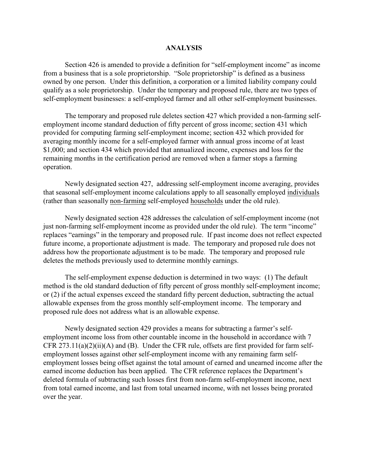### **ANALYSIS**

Section 426 is amended to provide a definition for "self-employment income" as income from a business that is a sole proprietorship. "Sole proprietorship" is defined as a business owned by one person. Under this definition, a corporation or a limited liability company could qualify as a sole proprietorship. Under the temporary and proposed rule, there are two types of self-employment businesses: a self-employed farmer and all other self-employment businesses.

The temporary and proposed rule deletes section 427 which provided a non-farming selfemployment income standard deduction of fifty percent of gross income; section 431 which provided for computing farming self-employment income; section 432 which provided for averaging monthly income for a self-employed farmer with annual gross income of at least \$1,000; and section 434 which provided that annualized income, expenses and loss for the remaining months in the certification period are removed when a farmer stops a farming operation.

Newly designated section 427, addressing self-employment income averaging, provides that seasonal self-employment income calculations apply to all seasonally employed individuals (rather than seasonally non-farming self-employed households under the old rule).

Newly designated section 428 addresses the calculation of self-employment income (not just non-farming self-employment income as provided under the old rule). The term "income" replaces "earnings" in the temporary and proposed rule. If past income does not reflect expected future income, a proportionate adjustment is made. The temporary and proposed rule does not address how the proportionate adjustment is to be made. The temporary and proposed rule deletes the methods previously used to determine monthly earnings.

The self-employment expense deduction is determined in two ways: (1) The default method is the old standard deduction of fifty percent of gross monthly self-employment income; or (2) if the actual expenses exceed the standard fifty percent deduction, subtracting the actual allowable expenses from the gross monthly self-employment income. The temporary and proposed rule does not address what is an allowable expense.

Newly designated section 429 provides a means for subtracting a farmer's selfemployment income loss from other countable income in the household in accordance with 7 CFR  $273.11(a)(2)(ii)(A)$  and (B). Under the CFR rule, offsets are first provided for farm selfemployment losses against other self-employment income with any remaining farm selfemployment losses being offset against the total amount of earned and unearned income after the earned income deduction has been applied. The CFR reference replaces the Department's deleted formula of subtracting such losses first from non-farm self-employment income, next from total earned income, and last from total unearned income, with net losses being prorated over the year.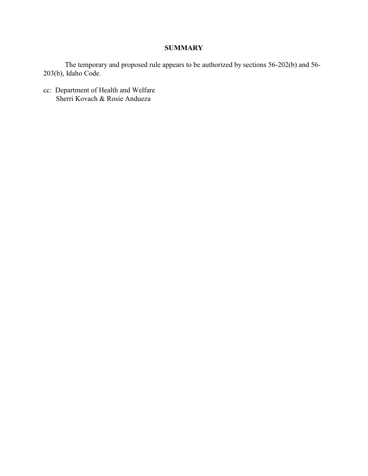# **SUMMARY**

The temporary and proposed rule appears to be authorized by sections 56-202(b) and 56- 203(b), Idaho Code.

cc: Department of Health and Welfare Sherri Kovach & Rosie Andueza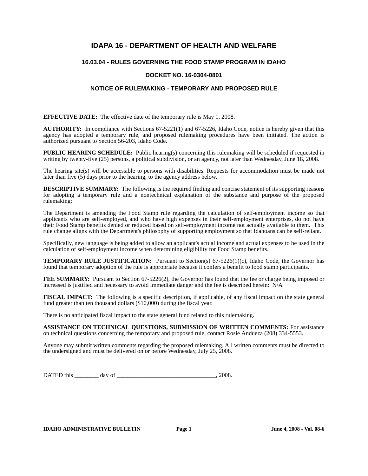# **IDAPA 16 - DEPARTMENT OF HEALTH AND WELFARE**

# **16.03.04 - RULES GOVERNING THE FOOD STAMP PROGRAM IN IDAHO**

# **DOCKET NO. 16-0304-0801**

### **NOTICE OF RULEMAKING - TEMPORARY AND PROPOSED RULE**

**EFFECTIVE DATE:** The effective date of the temporary rule is May 1, 2008.

**AUTHORITY:** In compliance with Sections 67-5221(1) and 67-5226, Idaho Code, notice is hereby given that this agency has adopted a temporary rule, and proposed rulemaking procedures have been initiated. The action is authorized pursuant to Section 56-203, Idaho Code.

**PUBLIC HEARING SCHEDULE:** Public hearing(s) concerning this rulemaking will be scheduled if requested in writing by twenty-five (25) persons, a political subdivision, or an agency, not later than Wednesday, June 18, 2008.

The hearing site(s) will be accessible to persons with disabilities. Requests for accommodation must be made not later than five (5) days prior to the hearing, to the agency address below.

**DESCRIPTIVE SUMMARY:** The following is the required finding and concise statement of its supporting reasons for adopting a temporary rule and a nontechnical explanation of the substance and purpose of the proposed rulemaking:

The Department is amending the Food Stamp rule regarding the calculation of self-employment income so that applicants who are self-employed, and who have high expenses in their self-employment enterprises, do not have their Food Stamp benefits denied or reduced based on self-employment income not actually available to them. This rule change aligns with the Department's philosophy of supporting employment so that Idahoans can be self-reliant.

Specifically, new language is being added to allow an applicant's actual income and actual expenses to be used in the calculation of self-employment income when determining eligibility for Food Stamp benefits.

**TEMPORARY RULE JUSTIFICATION:** Pursuant to Section(s) 67-5226(1)(c), Idaho Code, the Governor has found that temporary adoption of the rule is appropriate because it confers a benefit to food stamp participants.

**FEE SUMMARY:** Pursuant to Section 67-5226(2), the Governor has found that the fee or charge being imposed or increased is justified and necessary to avoid immediate danger and the fee is described herein: N/A

**FISCAL IMPACT:** The following is a specific description, if applicable, of any fiscal impact on the state general fund greater than ten thousand dollars (\$10,000) during the fiscal year.

There is no anticipated fiscal impact to the state general fund related to this rulemaking.

**ASSISTANCE ON TECHNICAL QUESTIONS, SUBMISSION OF WRITTEN COMMENTS:** For assistance on technical questions concerning the temporary and proposed rule, contact Rosie Andueza (208) 334-5553.

Anyone may submit written comments regarding the proposed rulemaking. All written comments must be directed to the undersigned and must be delivered on or before Wednesday, July 25, 2008.

DATED this \_\_\_\_\_\_\_\_ day of \_\_\_\_\_\_\_\_\_\_\_\_\_\_\_\_\_\_\_\_\_\_\_\_\_\_\_\_\_\_\_\_\_, 2008.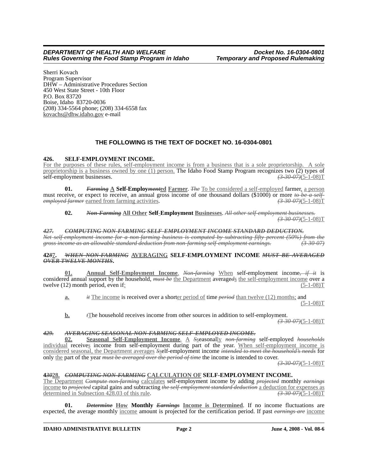Sherri Kovach Program Supervisor DHW – Administrative Procedures Section 450 West State Street - 10th Floor P.O. Box 83720 Boise, Idaho 83720-0036 (208) 334-5564 phone; (208) 334-6558 fax kovachs@dhw.idaho.gov e-mail

# **THE FOLLOWING IS THE TEXT OF DOCKET NO. 16-0304-0801**

#### **426. SELF-EMPLOYMENT INCOME.**

For the purposes of these rules, self-employment income is from a business that is a sole proprietorship. A sole proprietorship is a business owned by one (1) person. The Idaho Food Stamp Program recognizes two (2) types of self-employment businesses.<br>  $\left(3-30-07\right)\left(5-1-08\right)T$ self-employment businesses.

**01.** *Farming* **A Self-Employ***ment***ed Farmer**. *The* To be considered a self-employed farmer, a person must receive, or expect to receive, an annual gross income of one thousand dollars (\$1000) or more *to be a self-*<br> *employed farmer* earned from farming activities. (3.30.07)(5-1-08)T *employed farmer* earned from farming activities.

#### **02.** *Non-Farming* **All Other Self**-**Employment Businesses**. *All other self-employment businesses. (3-30-07)*(5-1-08)T

#### *427. COMPUTING NON-FARMING SELF-EMPLOYMENT INCOME STANDARD DEDUCTION.*

*Net self-employment income for a non-farming business is computed by subtracting fifty percent (50%) from the gross income as an allowable standard deduction from non-farming self-employment earnings. (3-30-07)*

#### **42***8***7.** *WHEN NON-FARMING* **AVERAGING SELF-EMPLOYMENT INCOME** *MUST BE AVERAGED OVER TWELVE MONTHS***.**

**01. Annual Self-Employment Income**. *Non-farming* When self-employment income*, if it* is considered annual support by the household, *must be* the Department averageds the self-employment income over a twelve (12) month period, even if: twelve  $(12)$  month period, even if:

**a.** *it* The income is received over a shorter period of time *period* than twelve (12) months; and  $(5-1-08)T$ 

**b.** *t***The household receives income from other sources in addition to self-employment.** 

*(3-30-07)*(5-1-08)T

### *429. AVERAGING SEASONAL NON-FARMING SELF-EMPLOYED INCOME.*

**02. Seasonal Self-Employment Income**. A *S*seasonally *non-farming* self-employed *households* individual receives income from self-employment during part of the year. When self-employment income is considered seasonal, the Department averages *S*self-employment income *intended to meet the household's needs* for only the part of the year *must be averaged over the period of time* the income is intended to cover.

*(3-30-07)*(5-1-08)T

# **4***30***28.** *COMPUTING NON-FARMING* **CALCULATION OF SELF-EMPLOYMENT INCOME.**

The Department *Compute non-farming* calculates self-employment income by adding *projected* monthly *earnings* income to *projected* capital gains and subtracting *the self-employment standard deduction* a deduction for expenses as determined in Subsection 428.03 of this rule. *(3-30-07)*(5-1-08)T

**01.** *Determine* **How Monthly** *Earnings* **Income is Determined**. If no income fluctuations are expected, the average monthly income amount is projected for the certification period. If past *earnings are* income

#### **IDAHO ADMINISTRATIVE BULLETIN** Page 2 June 4, 2008 - Vol. 08-6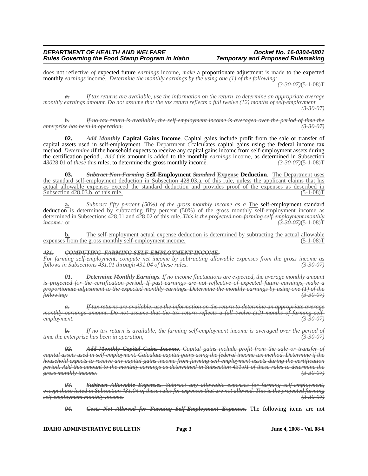does not reflect*ive of* expected future *earnings* income, *make* a proportionate adjustment is made to the expected monthly *earnings* income. *Determine the monthly earnings by the using one (1) of the following:*

*(3-30-07)*(5-1-08)T

*a. If tax returns are available, use the information on the return to determine an appropriate average monthly earnings amount. Do not assume that the tax return reflects a full twelve (12) months of self-employment. (3-30-07)*

*b. If no tax return is available, the self-employment income is averaged over the period of time the enterprise has been in operation, (3-30-07)*

**02.** *Add Monthly* **Capital Gains Income**. Capital gains include profit from the sale or transfer of capital assets used in self-employment. The Department *C*calculates capital gains using the federal income tax method. *Determine i*If the household expects to receive any capital gains income from self-employment assets during the certification period*.*, *Add* this amount is added to the monthly *earnings* income, as determined in Subsection 4*30*28.01 of *these* this rule*s*, to determine the gross monthly income. *(3-30-07)*(5-1-08)T

**03.** *Subtract Non-Farming* **Self-Employment** *Standard* **Expense Deduction**. The Department uses the standard self-employment deduction in Subsection 428.03.a. of this rule, unless the applicant claims that his actual allowable expenses exceed the standard deduction and provides proof of the expenses as described in Subsection  $428.03.b.$  of this rule. (5-1-08)T

**a.** *Subtract fifty percent (50%) of the gross monthly income as a* The self-employment standard deduction is determined by subtracting fifty percent (50%) of the gross monthly self-employment income as determined in Subsections 428.01 and 428.02 of this rule*. This is the projected non-farming self-employment monthly income.*; or *(3-30-07)*(5-1-08)T

**b.** The self-employment actual expense deduction is determined by subtracting the actual allowable is from the gross monthly self-employment income.  $(5-1-08)T$ expenses from the gross monthly self-employment income.

#### *431. COMPUTING FARMING SELF-EMPLOYMENT INCOME.*

*For farming self-employment, compute net income by subtracting allowable expenses from the gross income as follows in Subsections 431.01 through 431.04 of these rules. (3-30-07)*

*01. Determine Monthly Earnings. If no income fluctuations are expected, the average monthly amount is projected for the certification period. If past earnings are not reflective of expected future earnings, make a proportionate adjustment to the expected monthly earnings. Determine the monthly earnings by using one (1) of the following: (3-30-07)*

*a. If tax returns are available, use the information on the return to determine an appropriate average monthly earnings amount. Do not assume that the tax return reflects a full twelve (12) months of farming selfemployment. (3-30-07)*

*b. If no tax return is available, the farming self-employment income is averaged over the period of time the enterprise has been in operation, (3-30-07)*

*02. Add Monthly Capital Gains Income. Capital gains include profit from the sale or transfer of capital assets used in self-employment. Calculate capital gains using the federal income tax method. Determine if the household expects to receive any capital gains income from farming self-employment assets during the certification period. Add this amount to the monthly earnings as determined in Subsection 431.01 of these rules to determine the gross monthly income. (3-30-07)*

*03. Subtract Allowable Expenses. Subtract any allowable expenses for farming self-employment, except those listed in Subsection 431.04 of these rules for expenses that are not allowed. This is the projected farming self-employment monthly income. (3-30-07)*

*04. Costs Not Allowed for Farming Self-Employment Expenses.* The following items are not